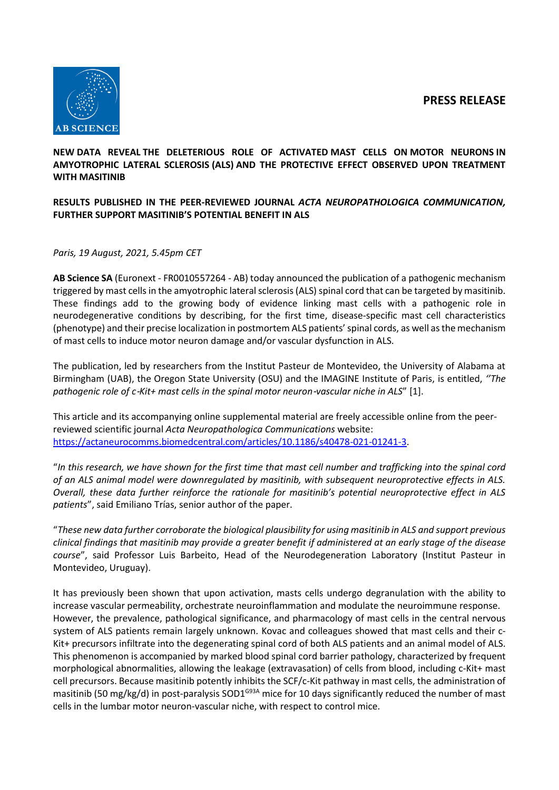**PRESS RELEASE**



# **NEW DATA REVEAL THE DELETERIOUS ROLE OF ACTIVATED MAST CELLS ON MOTOR NEURONS IN AMYOTROPHIC LATERAL SCLEROSIS (ALS) AND THE PROTECTIVE EFFECT OBSERVED UPON TREATMENT WITH MASITINIB**

# **RESULTS PUBLISHED IN THE PEER-REVIEWED JOURNAL** *ACTA NEUROPATHOLOGICA COMMUNICATION,*  **FURTHER SUPPORT MASITINIB'S POTENTIAL BENEFIT IN ALS**

# *Paris, 19 August, 2021, 5.45pm CET*

**AB Science SA** (Euronext - FR0010557264 - AB) today announced the publication of a pathogenic mechanism triggered by mast cellsin the amyotrophic lateral sclerosis (ALS) spinal cord that can be targeted by masitinib. These findings add to the growing body of evidence linking mast cells with a pathogenic role in neurodegenerative conditions by describing, for the first time, disease-specific mast cell characteristics (phenotype) and their precise localization in postmortem ALS patients' spinal cords, as well as the mechanism of mast cells to induce motor neuron damage and/or vascular dysfunction in ALS.

The publication, led by researchers from the Institut Pasteur de Montevideo, the University of Alabama at Birmingham (UAB), the Oregon State University (OSU) and the IMAGINE Institute of Paris, is entitled, *''The pathogenic role of c*‑*Kit+ mast cells in the spinal motor neuron*‑*vascular niche in ALS*" [1].

This article and its accompanying online supplemental material are freely accessible online from the peerreviewed scientific journal *Acta Neuropathologica Communications* website: [https://actaneurocomms.biomedcentral.com/articles/10.1186/s40478-021-01241-3.](https://actaneurocomms.biomedcentral.com/articles/10.1186/s40478-021-01241-3)

"*In this research, we have shown for the first time that mast cell number and trafficking into the spinal cord of an ALS animal model were downregulated by masitinib, with subsequent neuroprotective effects in ALS. Overall, these data further reinforce the rationale for masitinib's potential neuroprotective effect in ALS patients*", said Emiliano Trías, senior author of the paper.

"*These new data further corroborate the biological plausibility for using masitinib in ALS and support previous clinical findings that masitinib may provide a greater benefit if administered at an early stage of the disease course*", said Professor Luis Barbeito, Head of the Neurodegeneration Laboratory (Institut Pasteur in Montevideo, Uruguay).

It has previously been shown that upon activation, masts cells undergo degranulation with the ability to increase vascular permeability, orchestrate neuroinflammation and modulate the neuroimmune response. However, the prevalence, pathological significance, and pharmacology of mast cells in the central nervous system of ALS patients remain largely unknown. Kovac and colleagues showed that mast cells and their c-Kit+ precursors infiltrate into the degenerating spinal cord of both ALS patients and an animal model of ALS. This phenomenon is accompanied by marked blood spinal cord barrier pathology, characterized by frequent morphological abnormalities, allowing the leakage (extravasation) of cells from blood, including c-Kit+ mast cell precursors. Because masitinib potently inhibits the SCF/c-Kit pathway in mast cells, the administration of masitinib (50 mg/kg/d) in post-paralysis SOD1<sup>G93A</sup> mice for 10 days significantly reduced the number of mast cells in the lumbar motor neuron-vascular niche, with respect to control mice.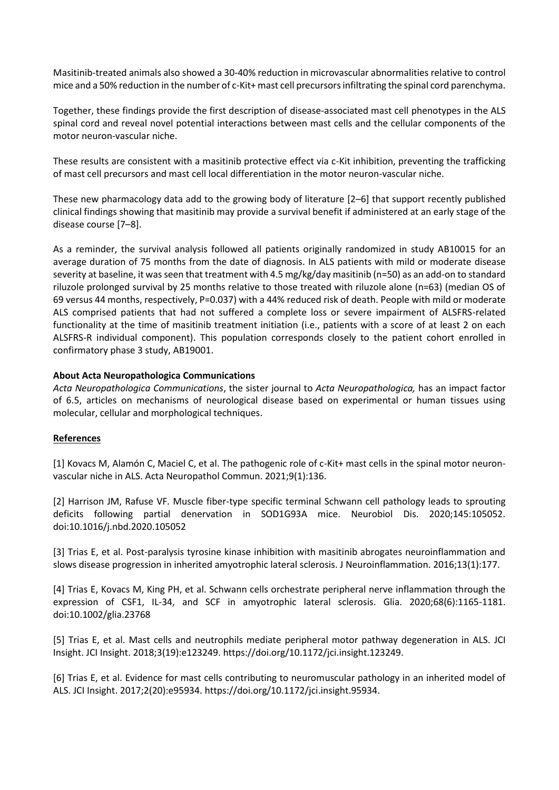Masitinib-treated animals also showed a 30-40% reduction in microvascular abnormalities relative to control mice and a 50% reduction in the number of c-Kit+ mast cell precursors infiltrating the spinal cord parenchyma.

Together, these findings provide the first description of disease-associated mast cell phenotypes in the ALS spinal cord and reveal novel potential interactions between mast cells and the cellular components of the motor neuron-vascular niche.

These results are consistent with a masitinib protective effect via c-Kit inhibition, preventing the trafficking of mast cell precursors and mast cell local differentiation in the motor neuron-vascular niche.

These new pharmacology data add to the growing body of literature [2–6] that support recently published clinical findings showing that masitinib may provide a survival benefit if administered at an early stage of the disease course [7–8].

As a reminder, the survival analysis followed all patients originally randomized in study AB10015 for an average duration of 75 months from the date of diagnosis. In ALS patients with mild or moderate disease severity at baseline, it was seen that treatment with 4.5 mg/kg/day masitinib (n=50) as an add-on to standard riluzole prolonged survival by 25 months relative to those treated with riluzole alone (n=63) (median OS of 69 versus 44 months, respectively, P=0.037) with a 44% reduced risk of death. People with mild or moderate ALS comprised patients that had not suffered a complete loss or severe impairment of ALSFRS-related functionality at the time of masitinib treatment initiation (i.e., patients with a score of at least 2 on each ALSFRS-R individual component). This population corresponds closely to the patient cohort enrolled in confirmatory phase 3 study, AB19001.

# **About Acta Neuropathologica Communications**

*Acta Neuropathologica Communications*, the sister journal to *Acta Neuropathologica,* has an impact factor of 6.5, articles on mechanisms of neurological disease based on experimental or human tissues using molecular, cellular and morphological techniques.

## **References**

[1] Kovacs M, Alamón C, Maciel C, et al. The pathogenic role of c-Kit+ mast cells in the spinal motor neuronvascular niche in ALS. Acta Neuropathol Commun. 2021;9(1):136.

[2] Harrison JM, Rafuse VF. Muscle fiber-type specific terminal Schwann cell pathology leads to sprouting deficits following partial denervation in SOD1G93A mice. Neurobiol Dis. 2020;145:105052. doi:10.1016/j.nbd.2020.105052

[3] Trias E, et al. Post-paralysis tyrosine kinase inhibition with masitinib abrogates neuroinflammation and slows disease progression in inherited amyotrophic lateral sclerosis. J Neuroinflammation. 2016;13(1):177.

[4] Trias E, Kovacs M, King PH, et al. Schwann cells orchestrate peripheral nerve inflammation through the expression of CSF1, IL-34, and SCF in amyotrophic lateral sclerosis. Glia. 2020;68(6):1165-1181. doi:10.1002/glia.23768

[5] Trias E, et al. Mast cells and neutrophils mediate peripheral motor pathway degeneration in ALS. JCI Insight. JCI Insight. 2018;3(19):e123249. https://doi.org/10.1172/jci.insight.123249.

[6] Trias E, et al. Evidence for mast cells contributing to neuromuscular pathology in an inherited model of ALS. JCI Insight. 2017;2(20):e95934. https://doi.org/10.1172/jci.insight.95934.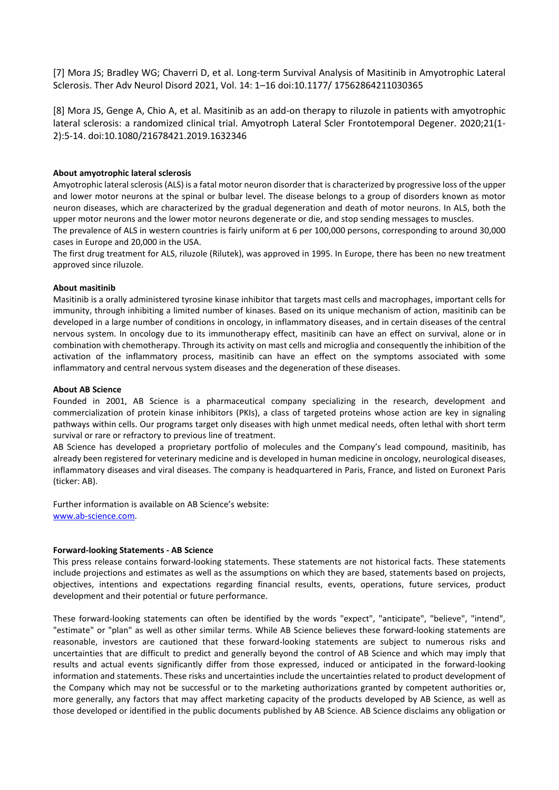[7] Mora JS; Bradley WG; Chaverri D, et al. Long-term Survival Analysis of Masitinib in Amyotrophic Lateral Sclerosis. Ther Adv Neurol Disord 2021, Vol. 14: 1–16 doi:10.1177/ 17562864211030365

[8] Mora JS, Genge A, Chio A, et al. Masitinib as an add-on therapy to riluzole in patients with amyotrophic lateral sclerosis: a randomized clinical trial. Amyotroph Lateral Scler Frontotemporal Degener. 2020;21(1- 2):5-14. doi:10.1080/21678421.2019.1632346

## **About amyotrophic lateral sclerosis**

Amyotrophic lateral sclerosis (ALS) is a fatal motor neuron disorder that is characterized by progressive loss of the upper and lower motor neurons at the spinal or bulbar level. The disease belongs to a group of disorders known as motor neuron diseases, which are characterized by the gradual degeneration and death of motor neurons. In ALS, both the upper motor neurons and the lower motor neurons degenerate or die, and stop sending messages to muscles.

The prevalence of ALS in western countries is fairly uniform at 6 per 100,000 persons, corresponding to around 30,000 cases in Europe and 20,000 in the USA.

The first drug treatment for ALS, riluzole (Rilutek), was approved in 1995. In Europe, there has been no new treatment approved since riluzole.

## **About masitinib**

Masitinib is a orally administered tyrosine kinase inhibitor that targets mast cells and macrophages, important cells for immunity, through inhibiting a limited number of kinases. Based on its unique mechanism of action, masitinib can be developed in a large number of conditions in oncology, in inflammatory diseases, and in certain diseases of the central nervous system. In oncology due to its immunotherapy effect, masitinib can have an effect on survival, alone or in combination with chemotherapy. Through its activity on mast cells and microglia and consequently the inhibition of the activation of the inflammatory process, masitinib can have an effect on the symptoms associated with some inflammatory and central nervous system diseases and the degeneration of these diseases.

#### **About AB Science**

Founded in 2001, AB Science is a pharmaceutical company specializing in the research, development and commercialization of protein kinase inhibitors (PKIs), a class of targeted proteins whose action are key in signaling pathways within cells. Our programs target only diseases with high unmet medical needs, often lethal with short term survival or rare or refractory to previous line of treatment.

AB Science has developed a proprietary portfolio of molecules and the Company's lead compound, masitinib, has already been registered for veterinary medicine and is developed in human medicine in oncology, neurological diseases, inflammatory diseases and viral diseases. The company is headquartered in Paris, France, and listed on Euronext Paris (ticker: AB).

Further information is available on AB Science's website: [www.ab-science.com.](http://www.ab-science.com/)

## **Forward-looking Statements - AB Science**

This press release contains forward-looking statements. These statements are not historical facts. These statements include projections and estimates as well as the assumptions on which they are based, statements based on projects, objectives, intentions and expectations regarding financial results, events, operations, future services, product development and their potential or future performance.

These forward-looking statements can often be identified by the words "expect", "anticipate", "believe", "intend", "estimate" or "plan" as well as other similar terms. While AB Science believes these forward-looking statements are reasonable, investors are cautioned that these forward-looking statements are subject to numerous risks and uncertainties that are difficult to predict and generally beyond the control of AB Science and which may imply that results and actual events significantly differ from those expressed, induced or anticipated in the forward-looking information and statements. These risks and uncertainties include the uncertainties related to product development of the Company which may not be successful or to the marketing authorizations granted by competent authorities or, more generally, any factors that may affect marketing capacity of the products developed by AB Science, as well as those developed or identified in the public documents published by AB Science. AB Science disclaims any obligation or